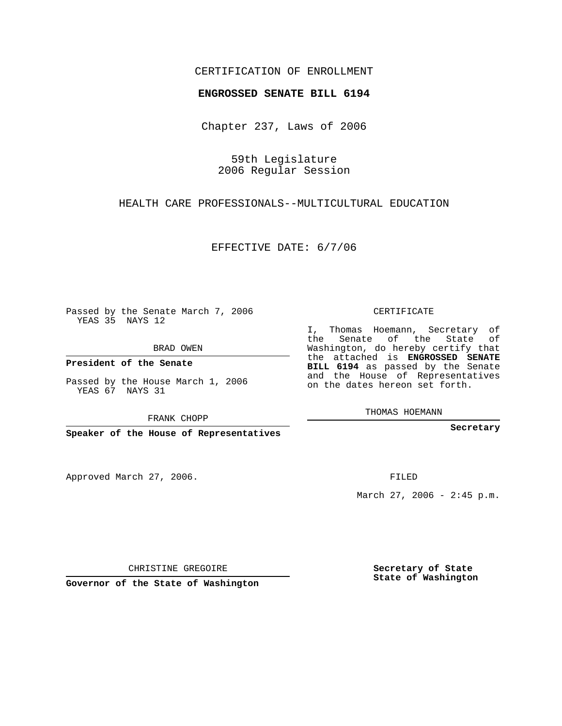## CERTIFICATION OF ENROLLMENT

#### **ENGROSSED SENATE BILL 6194**

Chapter 237, Laws of 2006

59th Legislature 2006 Regular Session

HEALTH CARE PROFESSIONALS--MULTICULTURAL EDUCATION

EFFECTIVE DATE: 6/7/06

Passed by the Senate March 7, 2006 YEAS 35 NAYS 12

BRAD OWEN

**President of the Senate**

Passed by the House March 1, 2006 YEAS 67 NAYS 31

FRANK CHOPP

**Speaker of the House of Representatives**

Approved March 27, 2006.

CERTIFICATE

I, Thomas Hoemann, Secretary of the Senate of the State of Washington, do hereby certify that the attached is **ENGROSSED SENATE BILL 6194** as passed by the Senate and the House of Representatives on the dates hereon set forth.

THOMAS HOEMANN

**Secretary**

FILED

March 27, 2006 -  $2:45$  p.m.

CHRISTINE GREGOIRE

**Governor of the State of Washington**

**Secretary of State State of Washington**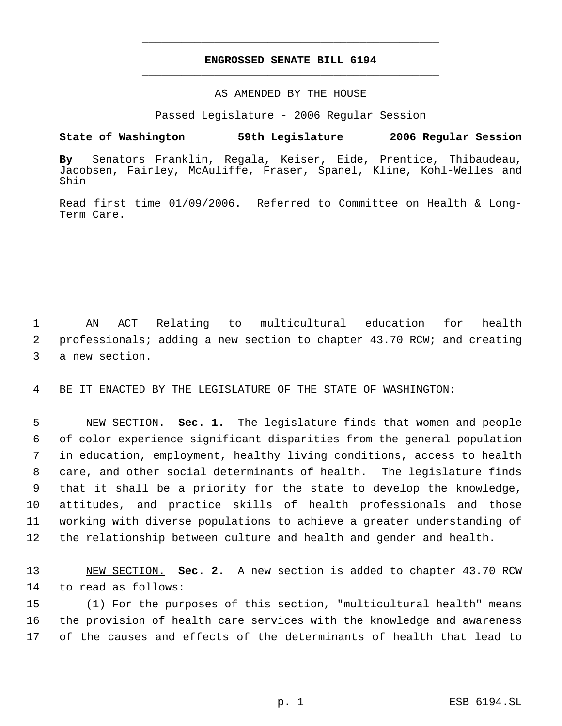# **ENGROSSED SENATE BILL 6194** \_\_\_\_\_\_\_\_\_\_\_\_\_\_\_\_\_\_\_\_\_\_\_\_\_\_\_\_\_\_\_\_\_\_\_\_\_\_\_\_\_\_\_\_\_

\_\_\_\_\_\_\_\_\_\_\_\_\_\_\_\_\_\_\_\_\_\_\_\_\_\_\_\_\_\_\_\_\_\_\_\_\_\_\_\_\_\_\_\_\_

### AS AMENDED BY THE HOUSE

Passed Legislature - 2006 Regular Session

### **State of Washington 59th Legislature 2006 Regular Session**

**By** Senators Franklin, Regala, Keiser, Eide, Prentice, Thibaudeau, Jacobsen, Fairley, McAuliffe, Fraser, Spanel, Kline, Kohl-Welles and Shin

Read first time 01/09/2006. Referred to Committee on Health & Long-Term Care.

 1 AN ACT Relating to multicultural education for health 2 professionals; adding a new section to chapter 43.70 RCW; and creating 3 a new section.

4 BE IT ENACTED BY THE LEGISLATURE OF THE STATE OF WASHINGTON:

 NEW SECTION. **Sec. 1.** The legislature finds that women and people of color experience significant disparities from the general population in education, employment, healthy living conditions, access to health care, and other social determinants of health. The legislature finds that it shall be a priority for the state to develop the knowledge, attitudes, and practice skills of health professionals and those working with diverse populations to achieve a greater understanding of the relationship between culture and health and gender and health.

13 NEW SECTION. **Sec. 2.** A new section is added to chapter 43.70 RCW 14 to read as follows:

15 (1) For the purposes of this section, "multicultural health" means 16 the provision of health care services with the knowledge and awareness 17 of the causes and effects of the determinants of health that lead to